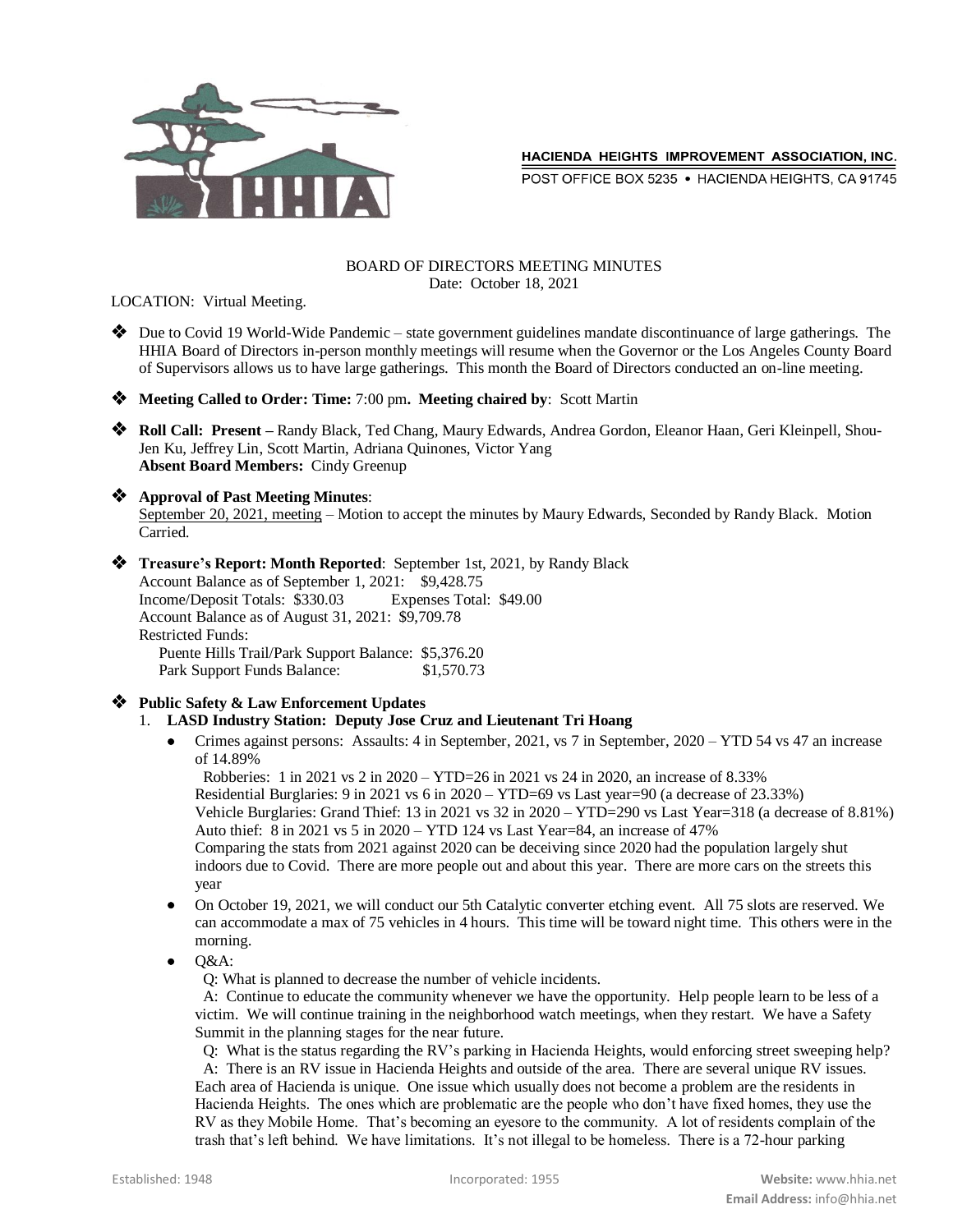

POST OFFICE BOX 5235 . HACIENDA HEIGHTS, CA 91745

#### BOARD OF DIRECTORS MEETING MINUTES Date: October 18, 2021

LOCATION: Virtual Meeting.

- ◆ Due to Covid 19 World-Wide Pandemic state government guidelines mandate discontinuance of large gatherings. The HHIA Board of Directors in-person monthly meetings will resume when the Governor or the Los Angeles County Board of Supervisors allows us to have large gatherings. This month the Board of Directors conducted an on-line meeting.
- **Meeting Called to Order: Time:** 7:00 pm**. Meeting chaired by**: Scott Martin
- **Roll Call: Present –** Randy Black, Ted Chang, Maury Edwards, Andrea Gordon, Eleanor Haan, Geri Kleinpell, Shou-Jen Ku, Jeffrey Lin, Scott Martin, Adriana Quinones, Victor Yang **Absent Board Members:** Cindy Greenup

# **Approval of Past Meeting Minutes**:

September 20, 2021, meeting – Motion to accept the minutes by Maury Edwards, Seconded by Randy Black. Motion Carried.

 **Treasure's Report: Month Reported**: September 1st, 2021, by Randy Black Account Balance as of September 1, 2021: \$9,428.75 Income/Deposit Totals: \$330.03 Expenses Total: \$49.00 Account Balance as of August 31, 2021: \$9,709.78 Restricted Funds: Puente Hills Trail/Park Support Balance: \$5,376.20 Park Support Funds Balance: \$1,570.73

#### **Public Safety & Law Enforcement Updates**

#### 1. **LASD Industry Station: Deputy Jose Cruz and Lieutenant Tri Hoang**

 Crimes against persons: Assaults: 4 in September, 2021, vs 7 in September, 2020 – YTD 54 vs 47 an increase of 14.89%

Robberies: 1 in 2021 vs 2 in 2020 – YTD=26 in 2021 vs 24 in 2020, an increase of 8.33%

Residential Burglaries: 9 in 2021 vs 6 in 2020 – YTD=69 vs Last year=90 (a decrease of 23.33%) Vehicle Burglaries: Grand Thief: 13 in 2021 vs 32 in 2020 – YTD=290 vs Last Year=318 (a decrease of 8.81%)

Auto thief: 8 in 2021 vs 5 in 2020 – YTD 124 vs Last Year=84, an increase of 47% Comparing the stats from 2021 against 2020 can be deceiving since 2020 had the population largely shut

indoors due to Covid. There are more people out and about this year. There are more cars on the streets this year

- On October 19, 2021, we will conduct our 5th Catalytic converter etching event. All 75 slots are reserved. We can accommodate a max of 75 vehicles in 4 hours. This time will be toward night time. This others were in the morning.
- $O&A$ :

Q: What is planned to decrease the number of vehicle incidents.

 A: Continue to educate the community whenever we have the opportunity. Help people learn to be less of a victim. We will continue training in the neighborhood watch meetings, when they restart. We have a Safety Summit in the planning stages for the near future.

 Q: What is the status regarding the RV's parking in Hacienda Heights, would enforcing street sweeping help? A: There is an RV issue in Hacienda Heights and outside of the area. There are several unique RV issues.

Each area of Hacienda is unique. One issue which usually does not become a problem are the residents in Hacienda Heights. The ones which are problematic are the people who don't have fixed homes, they use the RV as they Mobile Home. That's becoming an eyesore to the community. A lot of residents complain of the trash that's left behind. We have limitations. It's not illegal to be homeless. There is a 72-hour parking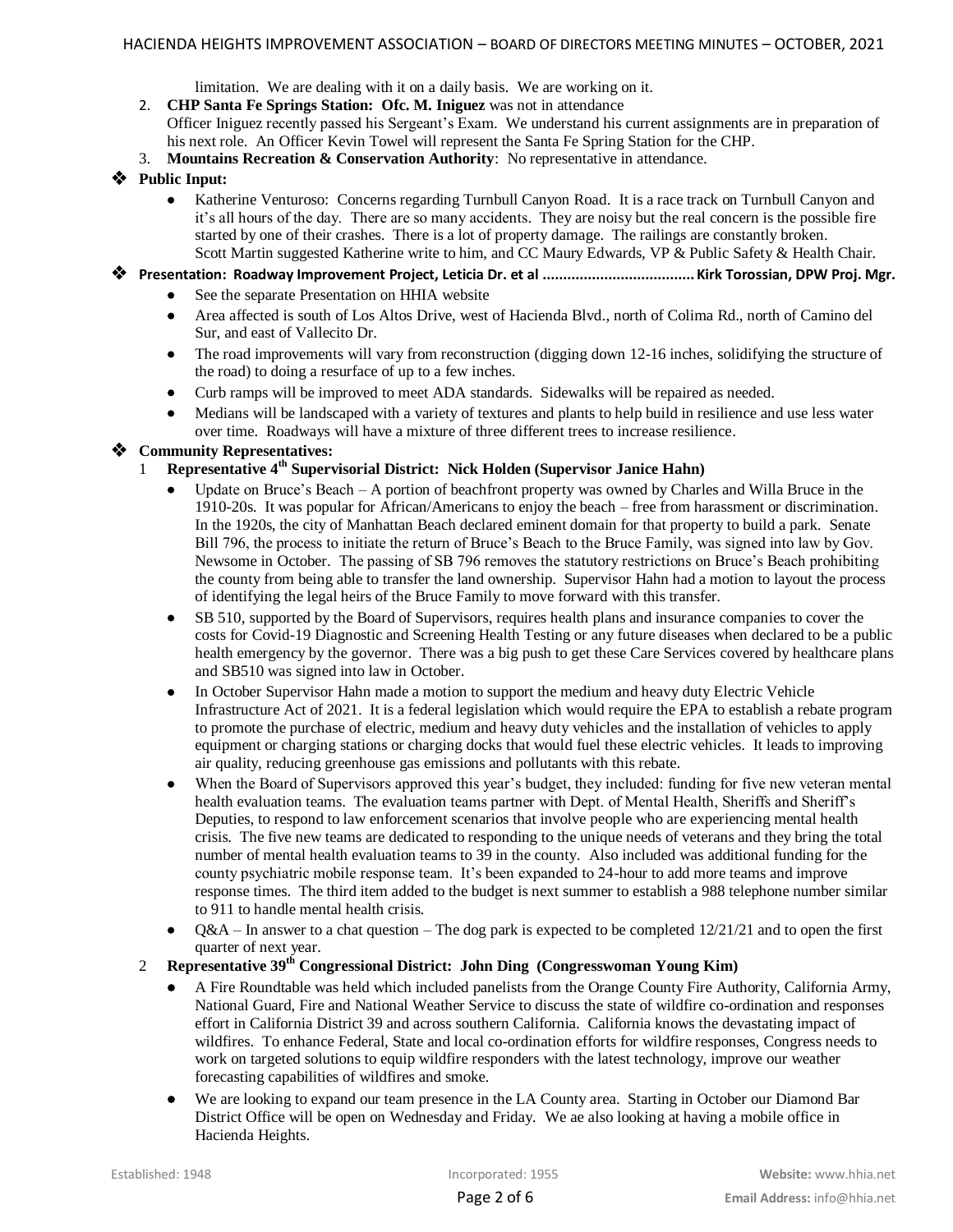limitation. We are dealing with it on a daily basis. We are working on it.

2. **CHP Santa Fe Springs Station: Ofc. M. Iniguez** was not in attendance

Officer Iniguez recently passed his Sergeant's Exam. We understand his current assignments are in preparation of his next role. An Officer Kevin Towel will represent the Santa Fe Spring Station for the CHP.

3. **Mountains Recreation & Conservation Authority**: No representative in attendance.

## **Public Input:**

 Katherine Venturoso: Concerns regarding Turnbull Canyon Road. It is a race track on Turnbull Canyon and it's all hours of the day. There are so many accidents. They are noisy but the real concern is the possible fire started by one of their crashes. There is a lot of property damage. The railings are constantly broken. Scott Martin suggested Katherine write to him, and CC Maury Edwards, VP & Public Safety & Health Chair.

## **Presentation: Roadway Improvement Project, Leticia Dr. et al ..................................... Kirk Torossian, DPW Proj. Mgr.**

- See the separate Presentation on HHIA website
- Area affected is south of Los Altos Drive, west of Hacienda Blvd., north of Colima Rd., north of Camino del Sur, and east of Vallecito Dr.
- The road improvements will vary from reconstruction (digging down 12-16 inches, solidifying the structure of the road) to doing a resurface of up to a few inches.
- Curb ramps will be improved to meet ADA standards. Sidewalks will be repaired as needed.
- Medians will be landscaped with a variety of textures and plants to help build in resilience and use less water over time. Roadways will have a mixture of three different trees to increase resilience.

#### **Community Representatives:**

- 1 **Representative 4 th Supervisorial District: Nick Holden (Supervisor Janice Hahn)**
	- Update on Bruce's Beach A portion of beachfront property was owned by Charles and Willa Bruce in the 1910-20s. It was popular for African/Americans to enjoy the beach – free from harassment or discrimination. In the 1920s, the city of Manhattan Beach declared eminent domain for that property to build a park. Senate Bill 796, the process to initiate the return of Bruce's Beach to the Bruce Family, was signed into law by Gov. Newsome in October. The passing of SB 796 removes the statutory restrictions on Bruce's Beach prohibiting the county from being able to transfer the land ownership. Supervisor Hahn had a motion to layout the process of identifying the legal heirs of the Bruce Family to move forward with this transfer.
	- SB 510, supported by the Board of Supervisors, requires health plans and insurance companies to cover the costs for Covid-19 Diagnostic and Screening Health Testing or any future diseases when declared to be a public health emergency by the governor. There was a big push to get these Care Services covered by healthcare plans and SB510 was signed into law in October.
	- In October Supervisor Hahn made a motion to support the medium and heavy duty Electric Vehicle Infrastructure Act of 2021. It is a federal legislation which would require the EPA to establish a rebate program to promote the purchase of electric, medium and heavy duty vehicles and the installation of vehicles to apply equipment or charging stations or charging docks that would fuel these electric vehicles. It leads to improving air quality, reducing greenhouse gas emissions and pollutants with this rebate.
	- When the Board of Supervisors approved this year's budget, they included: funding for five new veteran mental health evaluation teams. The evaluation teams partner with Dept. of Mental Health, Sheriffs and Sheriff's Deputies, to respond to law enforcement scenarios that involve people who are experiencing mental health crisis. The five new teams are dedicated to responding to the unique needs of veterans and they bring the total number of mental health evaluation teams to 39 in the county. Also included was additional funding for the county psychiatric mobile response team. It's been expanded to 24-hour to add more teams and improve response times. The third item added to the budget is next summer to establish a 988 telephone number similar to 911 to handle mental health crisis.
	- Q&A In answer to a chat question The dog park is expected to be completed 12/21/21 and to open the first quarter of next year.

## 2 **Representative 39th Congressional District: John Ding (Congresswoman Young Kim)**

- A Fire Roundtable was held which included panelists from the Orange County Fire Authority, California Army, National Guard, Fire and National Weather Service to discuss the state of wildfire co-ordination and responses effort in California District 39 and across southern California. California knows the devastating impact of wildfires. To enhance Federal, State and local co-ordination efforts for wildfire responses, Congress needs to work on targeted solutions to equip wildfire responders with the latest technology, improve our weather forecasting capabilities of wildfires and smoke.
- We are looking to expand our team presence in the LA County area. Starting in October our Diamond Bar District Office will be open on Wednesday and Friday. We ae also looking at having a mobile office in Hacienda Heights.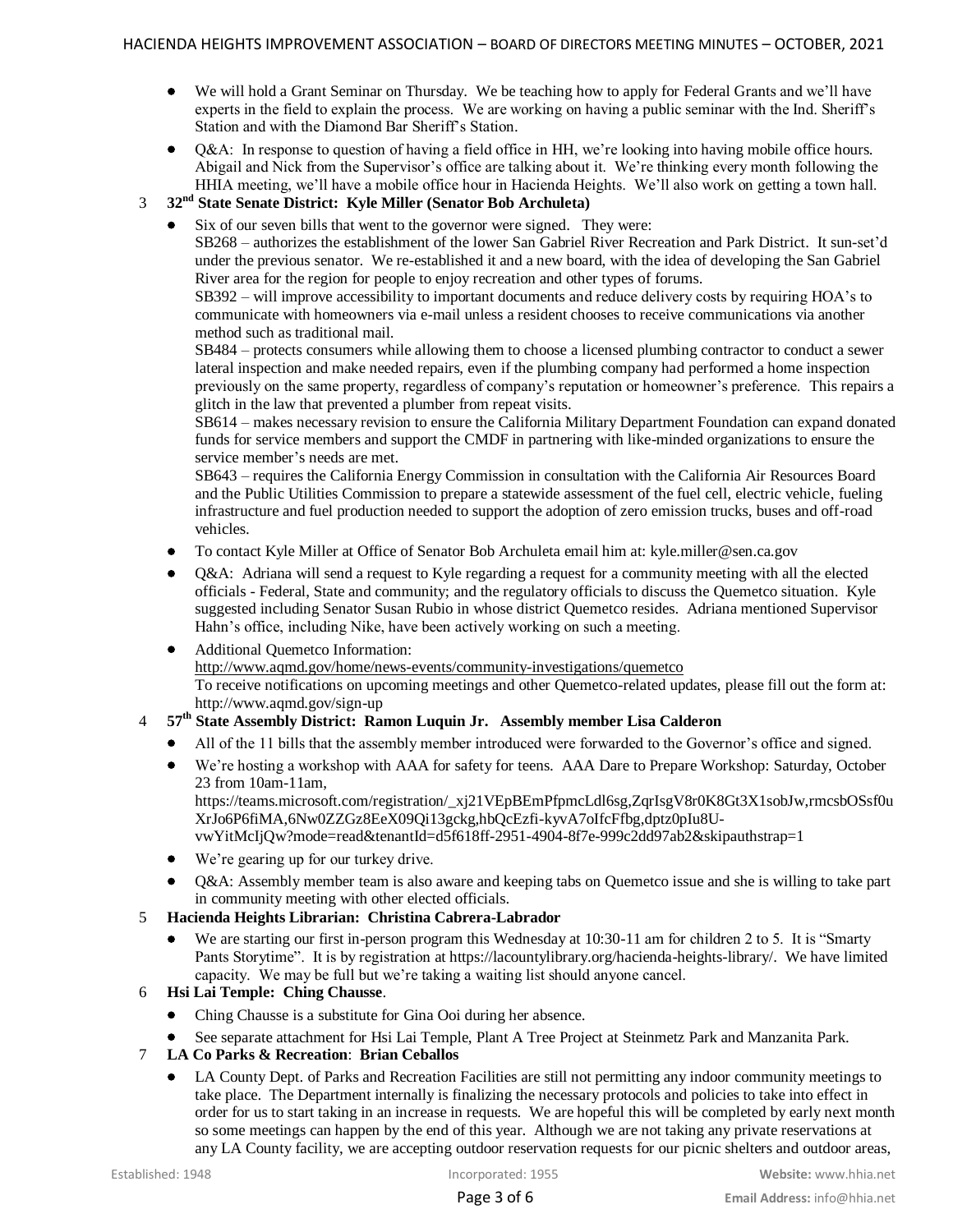- We will hold a Grant Seminar on Thursday. We be teaching how to apply for Federal Grants and we'll have experts in the field to explain the process. We are working on having a public seminar with the Ind. Sheriff's Station and with the Diamond Bar Sheriff's Station.
- Q&A: In response to question of having a field office in HH, we're looking into having mobile office hours. Abigail and Nick from the Supervisor's office are talking about it. We're thinking every month following the HHIA meeting, we'll have a mobile office hour in Hacienda Heights. We'll also work on getting a town hall.

## 3 **32nd State Senate District: Kyle Miller (Senator Bob Archuleta)**

Six of our seven bills that went to the governor were signed. They were:

SB268 – authorizes the establishment of the lower San Gabriel River Recreation and Park District. It sun-set'd under the previous senator. We re-established it and a new board, with the idea of developing the San Gabriel River area for the region for people to enjoy recreation and other types of forums.

SB392 – will improve accessibility to important documents and reduce delivery costs by requiring HOA's to communicate with homeowners via e-mail unless a resident chooses to receive communications via another method such as traditional mail.

SB484 – protects consumers while allowing them to choose a licensed plumbing contractor to conduct a sewer lateral inspection and make needed repairs, even if the plumbing company had performed a home inspection previously on the same property, regardless of company's reputation or homeowner's preference. This repairs a glitch in the law that prevented a plumber from repeat visits.

SB614 – makes necessary revision to ensure the California Military Department Foundation can expand donated funds for service members and support the CMDF in partnering with like-minded organizations to ensure the service member's needs are met.

SB643 – requires the California Energy Commission in consultation with the California Air Resources Board and the Public Utilities Commission to prepare a statewide assessment of the fuel cell, electric vehicle, fueling infrastructure and fuel production needed to support the adoption of zero emission trucks, buses and off-road vehicles.

- To contact Kyle Miller at Office of Senator Bob Archuleta email him at: kyle.miller@sen.ca.gov
- Q&A: Adriana will send a request to Kyle regarding a request for a community meeting with all the elected officials - Federal, State and community; and the regulatory officials to discuss the Quemetco situation. Kyle suggested including Senator Susan Rubio in whose district Quemetco resides. Adriana mentioned Supervisor Hahn's office, including Nike, have been actively working on such a meeting.

#### Additional Quemetco Information: <http://www.aqmd.gov/home/news-events/community-investigations/quemetco> To receive notifications on upcoming meetings and other Quemetco-related updates, please fill out the form at: http://www.aqmd.gov/sign-up

# 4 **57th State Assembly District: Ramon Luquin Jr. Assembly member Lisa Calderon**

- All of the 11 bills that the assembly member introduced were forwarded to the Governor's office and signed.
- We're hosting a workshop with AAA for safety for teens. AAA Dare to Prepare Workshop: Saturday, October 23 from 10am-11am,

https://teams.microsoft.com/registration/\_xj21VEpBEmPfpmcLdl6sg,ZqrIsgV8r0K8Gt3X1sobJw,rmcsbOSsf0u XrJo6P6fiMA,6Nw0ZZGz8EeX09Qi13gckg,hbQcEzfi-kyvA7oIfcFfbg,dptz0pIu8UvwYitMcIjQw?mode=read&tenantId=d5f618ff-2951-4904-8f7e-999c2dd97ab2&skipauthstrap=1

We're gearing up for our turkey drive.

 Q&A: Assembly member team is also aware and keeping tabs on Quemetco issue and she is willing to take part in community meeting with other elected officials.

#### 5 **Hacienda Heights Librarian: Christina Cabrera-Labrador**

We are starting our first in-person program this Wednesday at 10:30-11 am for children 2 to 5. It is "Smarty" Pants Storytime". It is by registration at https://lacountylibrary.org/hacienda-heights-library/. We have limited capacity. We may be full but we're taking a waiting list should anyone cancel.

#### 6 **Hsi Lai Temple: Ching Chausse**.

- Ching Chausse is a substitute for Gina Ooi during her absence.
- See separate attachment for Hsi Lai Temple, Plant A Tree Project at Steinmetz Park and Manzanita Park.
- 7 **LA Co Parks & Recreation**: **Brian Ceballos**
	- LA County Dept. of Parks and Recreation Facilities are still not permitting any indoor community meetings to take place. The Department internally is finalizing the necessary protocols and policies to take into effect in order for us to start taking in an increase in requests. We are hopeful this will be completed by early next month so some meetings can happen by the end of this year. Although we are not taking any private reservations at any LA County facility, we are accepting outdoor reservation requests for our picnic shelters and outdoor areas,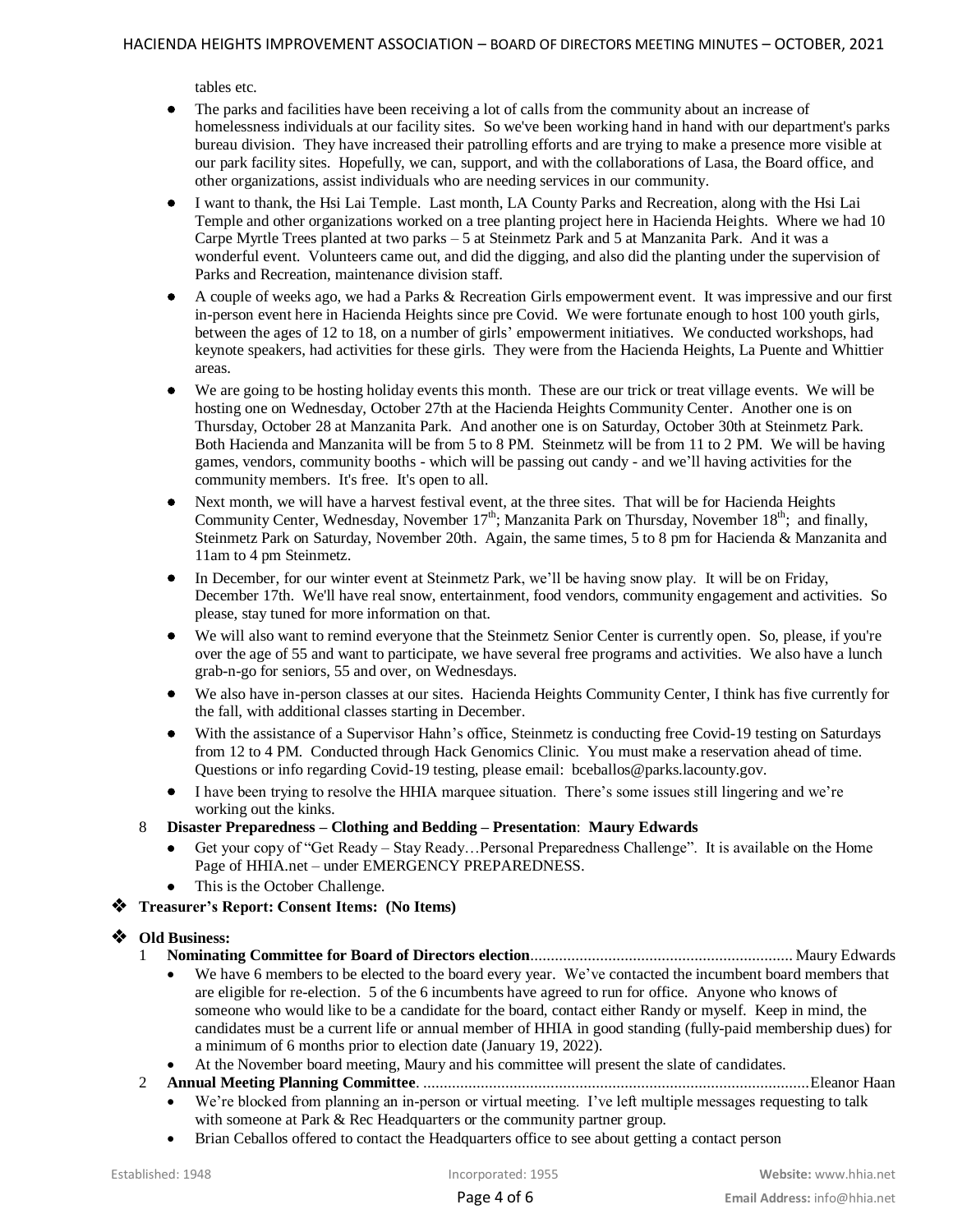tables etc.

- The parks and facilities have been receiving a lot of calls from the community about an increase of homelessness individuals at our facility sites. So we've been working hand in hand with our department's parks bureau division. They have increased their patrolling efforts and are trying to make a presence more visible at our park facility sites. Hopefully, we can, support, and with the collaborations of Lasa, the Board office, and other organizations, assist individuals who are needing services in our community.
- I want to thank, the Hsi Lai Temple. Last month, LA County Parks and Recreation, along with the Hsi Lai Temple and other organizations worked on a tree planting project here in Hacienda Heights. Where we had 10 Carpe Myrtle Trees planted at two parks – 5 at Steinmetz Park and 5 at Manzanita Park. And it was a wonderful event. Volunteers came out, and did the digging, and also did the planting under the supervision of Parks and Recreation, maintenance division staff.
- A couple of weeks ago, we had a Parks & Recreation Girls empowerment event. It was impressive and our first in-person event here in Hacienda Heights since pre Covid. We were fortunate enough to host 100 youth girls, between the ages of 12 to 18, on a number of girls' empowerment initiatives. We conducted workshops, had keynote speakers, had activities for these girls. They were from the Hacienda Heights, La Puente and Whittier areas.
- We are going to be hosting holiday events this month. These are our trick or treat village events. We will be hosting one on Wednesday, October 27th at the Hacienda Heights Community Center. Another one is on Thursday, October 28 at Manzanita Park. And another one is on Saturday, October 30th at Steinmetz Park. Both Hacienda and Manzanita will be from 5 to 8 PM. Steinmetz will be from 11 to 2 PM. We will be having games, vendors, community booths - which will be passing out candy - and we'll having activities for the community members. It's free. It's open to all.
- Next month, we will have a harvest festival event, at the three sites. That will be for Hacienda Heights Community Center, Wednesday, November  $17<sup>th</sup>$ ; Manzanita Park on Thursday, November  $18<sup>th</sup>$ ; and finally, Steinmetz Park on Saturday, November 20th. Again, the same times, 5 to 8 pm for Hacienda & Manzanita and 11am to 4 pm Steinmetz.
- In December, for our winter event at Steinmetz Park, we'll be having snow play. It will be on Friday, December 17th. We'll have real snow, entertainment, food vendors, community engagement and activities. So please, stay tuned for more information on that.
- We will also want to remind everyone that the Steinmetz Senior Center is currently open. So, please, if you're over the age of 55 and want to participate, we have several free programs and activities. We also have a lunch grab-n-go for seniors, 55 and over, on Wednesdays.
- We also have in-person classes at our sites. Hacienda Heights Community Center, I think has five currently for the fall, with additional classes starting in December.
- With the assistance of a Supervisor Hahn's office, Steinmetz is conducting free Covid-19 testing on Saturdays from 12 to 4 PM. Conducted through Hack Genomics Clinic. You must make a reservation ahead of time. Questions or info regarding Covid-19 testing, please email: bceballos@parks.lacounty.gov.
- I have been trying to resolve the HHIA marquee situation. There's some issues still lingering and we're working out the kinks.
- 8 **Disaster Preparedness – Clothing and Bedding – Presentation**: **Maury Edwards**
	- Get your copy of "Get Ready Stay Ready…Personal Preparedness Challenge". It is available on the Home Page of HHIA.net – under EMERGENCY PREPAREDNESS.
	- This is the October Challenge.

**Treasurer's Report: Consent Items: (No Items)**

# **Old Business:**

- 1 **Nominating Committee for Board of Directors election**................................................................ Maury Edwards
	- We have 6 members to be elected to the board every year. We've contacted the incumbent board members that are eligible for re-election. 5 of the 6 incumbents have agreed to run for office. Anyone who knows of someone who would like to be a candidate for the board, contact either Randy or myself. Keep in mind, the candidates must be a current life or annual member of HHIA in good standing (fully-paid membership dues) for a minimum of 6 months prior to election date (January 19, 2022).
	- At the November board meeting, Maury and his committee will present the slate of candidates.
- 2 **Annual Meeting Planning Committee**. ..............................................................................................Eleanor Haan
	- We're blocked from planning an in-person or virtual meeting. I've left multiple messages requesting to talk with someone at Park & Rec Headquarters or the community partner group.
	- Brian Ceballos offered to contact the Headquarters office to see about getting a contact person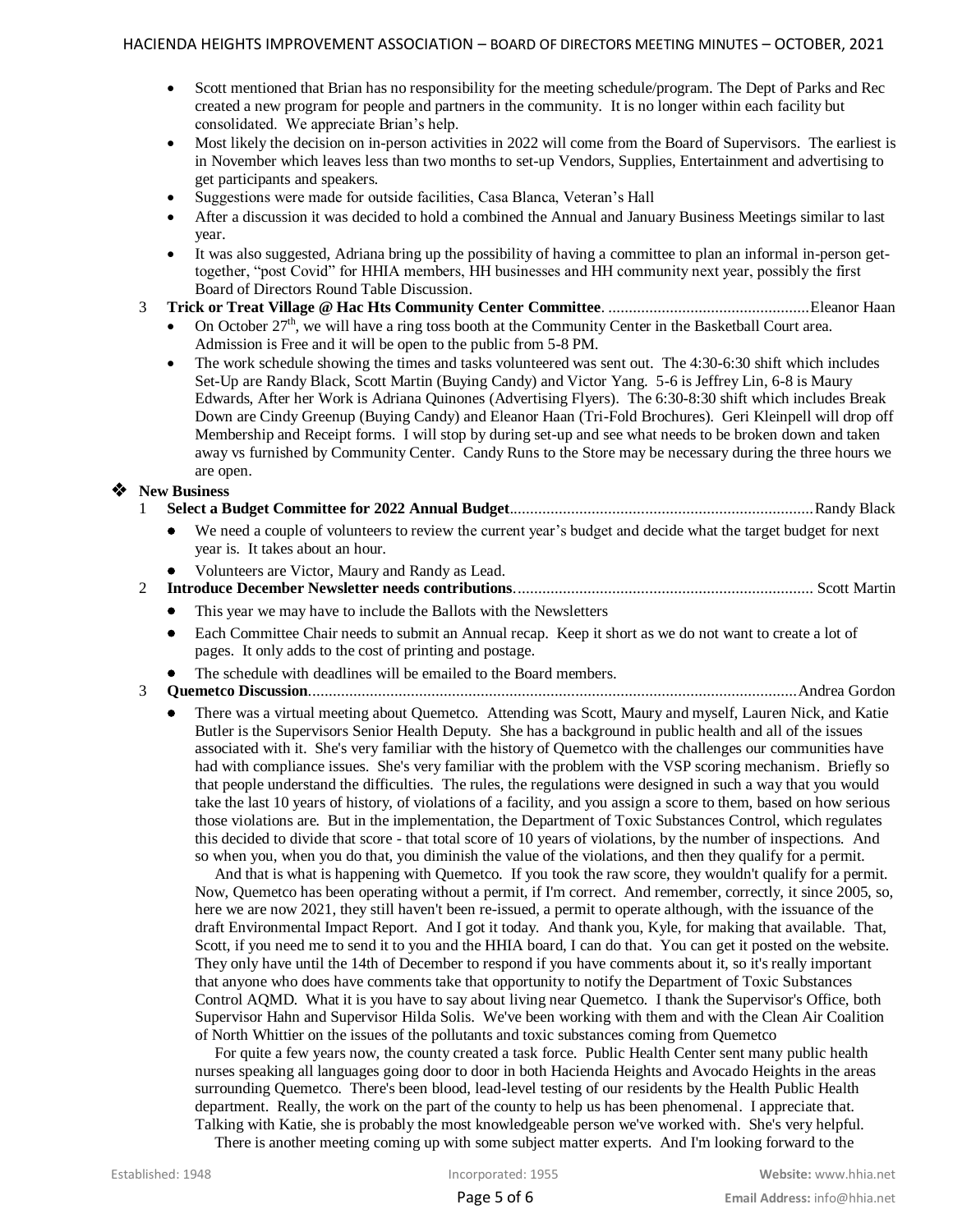- Scott mentioned that Brian has no responsibility for the meeting schedule/program. The Dept of Parks and Rec created a new program for people and partners in the community. It is no longer within each facility but consolidated. We appreciate Brian's help.
- Most likely the decision on in-person activities in 2022 will come from the Board of Supervisors. The earliest is in November which leaves less than two months to set-up Vendors, Supplies, Entertainment and advertising to get participants and speakers.
- Suggestions were made for outside facilities, Casa Blanca, Veteran's Hall
- After a discussion it was decided to hold a combined the Annual and January Business Meetings similar to last year.
- It was also suggested, Adriana bring up the possibility of having a committee to plan an informal in-person gettogether, "post Covid" for HHIA members, HH businesses and HH community next year, possibly the first Board of Directors Round Table Discussion.

## 3 **Trick or Treat Village @ Hac Hts Community Center Committee**. .................................................Eleanor Haan

- On October 27<sup>th</sup>, we will have a ring toss booth at the Community Center in the Basketball Court area. Admission is Free and it will be open to the public from 5-8 PM.
- The work schedule showing the times and tasks volunteered was sent out. The 4:30-6:30 shift which includes Set-Up are Randy Black, Scott Martin (Buying Candy) and Victor Yang. 5-6 is Jeffrey Lin, 6-8 is Maury Edwards, After her Work is Adriana Quinones (Advertising Flyers). The 6:30-8:30 shift which includes Break Down are Cindy Greenup (Buying Candy) and Eleanor Haan (Tri-Fold Brochures). Geri Kleinpell will drop off Membership and Receipt forms. I will stop by during set-up and see what needs to be broken down and taken away vs furnished by Community Center. Candy Runs to the Store may be necessary during the three hours we are open.

## **New Business**

- 1 **Select a Budget Committee for 2022 Annual Budget**..........................................................................Randy Black
	- We need a couple of volunteers to review the current year's budget and decide what the target budget for next year is. It takes about an hour.
	- Volunteers are Victor, Maury and Randy as Lead.
- 2 **Introduce December Newsletter needs contributions**......................................................................... Scott Martin
	- This year we may have to include the Ballots with the Newsletters
	- Each Committee Chair needs to submit an Annual recap. Keep it short as we do not want to create a lot of pages. It only adds to the cost of printing and postage.
	- The schedule with deadlines will be emailed to the Board members.

# 3 **Quemetco Discussion**.......................................................................................................................Andrea Gordon

 There was a virtual meeting about Quemetco. Attending was Scott, Maury and myself, Lauren Nick, and Katie Butler is the Supervisors Senior Health Deputy. She has a background in public health and all of the issues associated with it. She's very familiar with the history of Quemetco with the challenges our communities have had with compliance issues. She's very familiar with the problem with the VSP scoring mechanism. Briefly so that people understand the difficulties. The rules, the regulations were designed in such a way that you would take the last 10 years of history, of violations of a facility, and you assign a score to them, based on how serious those violations are. But in the implementation, the Department of Toxic Substances Control, which regulates this decided to divide that score - that total score of 10 years of violations, by the number of inspections. And so when you, when you do that, you diminish the value of the violations, and then they qualify for a permit.

 And that is what is happening with Quemetco. If you took the raw score, they wouldn't qualify for a permit. Now, Quemetco has been operating without a permit, if I'm correct. And remember, correctly, it since 2005, so, here we are now 2021, they still haven't been re-issued, a permit to operate although, with the issuance of the draft Environmental Impact Report. And I got it today. And thank you, Kyle, for making that available. That, Scott, if you need me to send it to you and the HHIA board, I can do that. You can get it posted on the website. They only have until the 14th of December to respond if you have comments about it, so it's really important that anyone who does have comments take that opportunity to notify the Department of Toxic Substances Control AQMD. What it is you have to say about living near Quemetco. I thank the Supervisor's Office, both Supervisor Hahn and Supervisor Hilda Solis. We've been working with them and with the Clean Air Coalition of North Whittier on the issues of the pollutants and toxic substances coming from Quemetco

 For quite a few years now, the county created a task force. Public Health Center sent many public health nurses speaking all languages going door to door in both Hacienda Heights and Avocado Heights in the areas surrounding Quemetco. There's been blood, lead-level testing of our residents by the Health Public Health department. Really, the work on the part of the county to help us has been phenomenal. I appreciate that. Talking with Katie, she is probably the most knowledgeable person we've worked with. She's very helpful.

There is another meeting coming up with some subject matter experts. And I'm looking forward to the